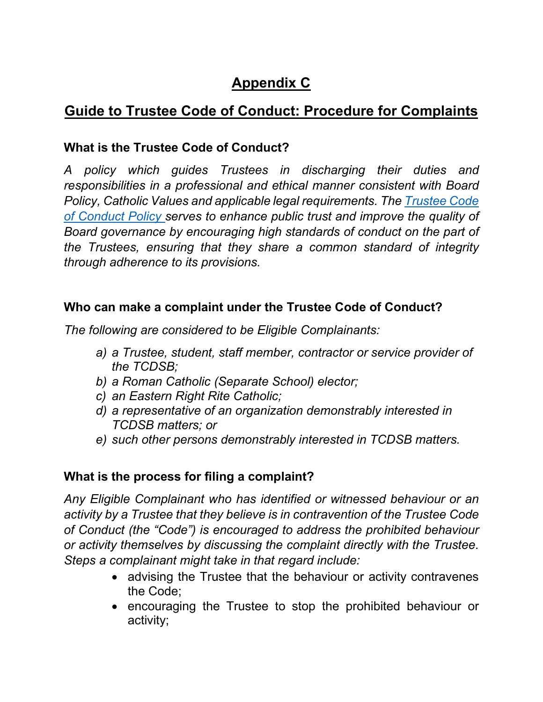# **Appendix C**

## **Guide to Trustee Code of Conduct: Procedure for Complaints**

## **What is the Trustee Code of Conduct?**

*A policy which guides Trustees in discharging their duties and responsibilities in a professional and ethical manner consistent with Board Policy, Catholic Values and applicable legal requirements. The [Trustee Code](https://www.tcdsb.org/Board/Policies/Documents/T04.pdf)  [of Conduct Policy s](https://www.tcdsb.org/Board/Policies/Documents/T04.pdf)erves to enhance public trust and improve the quality of Board governance by encouraging high standards of conduct on the part of the Trustees, ensuring that they share a common standard of integrity through adherence to its provisions.*

#### **Who can make a complaint under the Trustee Code of Conduct?**

*The following are considered to be Eligible Complainants:*

- *a) a Trustee, student, staff member, contractor or service provider of the TCDSB;*
- *b) a Roman Catholic (Separate School) elector;*
- *c) an Eastern Right Rite Catholic;*
- *d) a representative of an organization demonstrably interested in TCDSB matters; or*
- *e) such other persons demonstrably interested in TCDSB matters.*

### **What is the process for filing a complaint?**

*Any Eligible Complainant who has identified or witnessed behaviour or an activity by a Trustee that they believe is in contravention of the Trustee Code of Conduct (the "Code") is encouraged to address the prohibited behaviour or activity themselves by discussing the complaint directly with the Trustee. Steps a complainant might take in that regard include:*

- advising the Trustee that the behaviour or activity contravenes the Code;
- encouraging the Trustee to stop the prohibited behaviour or activity;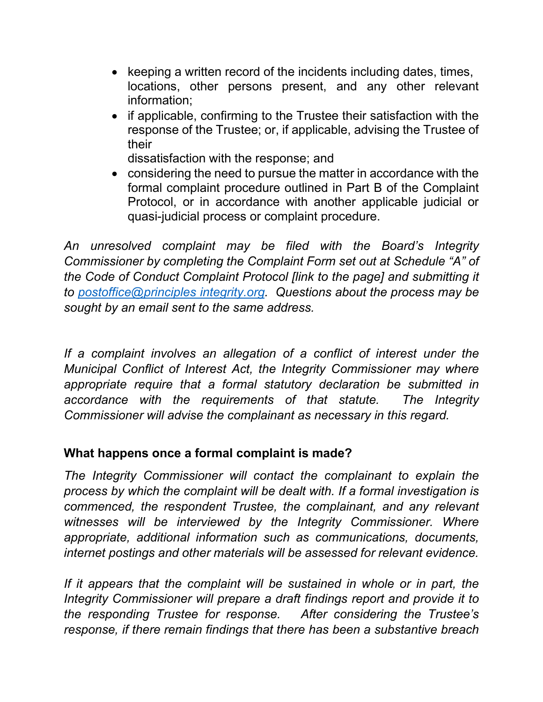- keeping a written record of the incidents including dates, times, locations, other persons present, and any other relevant information;
- if applicable, confirming to the Trustee their satisfaction with the response of the Trustee; or, if applicable, advising the Trustee of their

dissatisfaction with the response; and

• considering the need to pursue the matter in accordance with the formal complaint procedure outlined in Part B of the Complaint Protocol, or in accordance with another applicable judicial or quasi-judicial process or complaint procedure.

*An unresolved complaint may be filed with the Board's Integrity Commissioner by completing the Complaint Form set out at Schedule "A" of the Code of Conduct Complaint Protocol [link to the page] and submitting it to [postoffice@principles integrity.org.](mailto:postoffice@principlesintegrity.org) Questions about the process may be sought by an email sent to the same address.*

*If a complaint involves an allegation of a conflict of interest under the Municipal Conflict of Interest Act, the Integrity Commissioner may where appropriate require that a formal statutory declaration be submitted in accordance with the requirements of that statute. The Integrity Commissioner will advise the complainant as necessary in this regard.*

### **What happens once a formal complaint is made?**

*The Integrity Commissioner will contact the complainant to explain the process by which the complaint will be dealt with. If a formal investigation is commenced, the respondent Trustee, the complainant, and any relevant witnesses will be interviewed by the Integrity Commissioner. Where appropriate, additional information such as communications, documents, internet postings and other materials will be assessed for relevant evidence.*

If it appears that the complaint will be sustained in whole or in part, the *Integrity Commissioner will prepare a draft findings report and provide it to the responding Trustee for response. After considering the Trustee's response, if there remain findings that there has been a substantive breach*